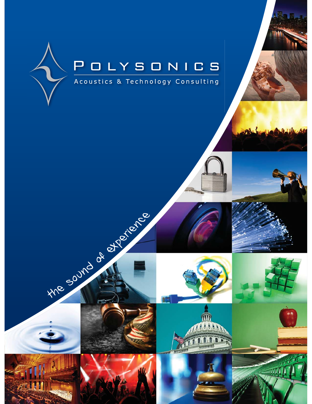











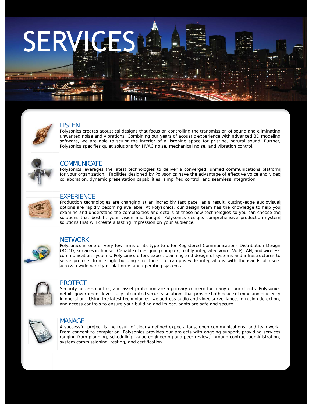# **SERVIGES**



# LISTEN

Polysonics creates acoustical designs that focus on controlling the transmission of sound and eliminating unwanted noise and vibrations. Combining our years of acoustic experience with advanced 3D modeling software, we are able to sculpt the interior of a listening space for pristine, natural sound. Further, Polysonics specifies quiet solutions for HVAC noise, mechanical noise, and vibration control.



# **COMMUNICATE**

Polysonics leverages the latest technologies to deliver a converged, unified communications platform for your organization. Facilities designed by Polysonics have the advantage of effective voice and video f collaboration, dynamic presentation capabilities, simplified control, and seamless integration.



# **EXPERIENCE**

Production technologies are changing at an incredibly fast pace; as a result, cutting-edge audiovisual options are rapidly becoming available. At Polysonics, our design team has the knowledge to help you o examine and understand the complexities and details of these new technologies so you can choose the e solutions that best fit your vision and budget. Polysonics designs comprehensive production system solutions that will create a lasting impression on your audience.



### NETWORK

Polysonics is one of very few firms of its type to offer Registered Communications Distribution Design (RCDD) services in-house. Capable of designing complex, highly-integrated voice, VoIP, LAN, and wireless communication systems, Polysonics offers expert planning and design of systems and infrastructures to serve projects from single-building structures, to campus-wide integrations with thousands of users across a wide variety of platforms and operating systems.



### PROTECT

Security, access control, and asset protection are a primary concern for many of our clients. Polysonics details government-level, fully integrated security solutions that provide both peace of mind and efficiency in operation. Using the latest technologies, we address audio and video surveillance, intrusion detection, and access controls to ensure your building and its occupants are safe and secure.



### MANAGE

A successful project is the result of clearly defined expectations, open communications, and teamwork. From concept to completion, Polysonics provides our projects with ongoing support, providing services ranging from planning, scheduling, value engineering and peer review, through contract administration, system commissioning, testing, and certification.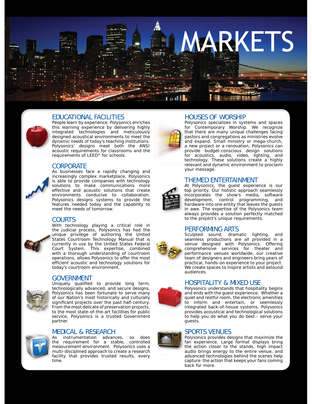

### EDUCATIONAL FACILITIES

People learn by experience. Polysonics enriches this learning experience by delivering highly integrated technologies and meticulously designed acoustical environments to meet the dynamic needs of today's teaching institutions. Polysonics' designs meet both the ANSI acoustic requirements for classrooms and the requirements of LEED® for schools.

### **CORPORATE**



As businesses face a rapidly changing and increasingly complex marketplace, Polysonics is able to provide companies with technology solutions to make communications more effective and acoustic solutions that create environments conducive to collaboration. Polysonics designs systems to provide the features needed today and the capability to meet the needs of tomorrow.

### COURTS



With technology playing a critical role in the judicial process, Polysonics has had the unique privilege of authoring the United States Courtroom Technology Manual that is currently in use by the United States Federal Court System. This expertise, combined with a thorough understanding of courtroom operations, allows Polysonics to offer the most efficient acoustic and technology solutions for today's courtroom environment.

### GOVERNMENT



Uniquely qualified to provide long term, technologically advanced, and secure designs, Polysonics has been fortunate to serve many of our Nation's most historically and culturally significant projects over the past half-century. From the most delicate of preservation projects, to the most state-of-the-art facilities for public service, Polysonics is a trusted Government partner.



### MEDICAL & RESEARCH

As instrumentation advances, so does the requirement for a stable, controlled measurement environment. Polysonics uses a multi-disciplined approach to create a research facility that provides trusted results, every time.



## HOUSES OF WORSHIP

Polysonics specializes in systems and spaces for Contemporary Worship. We recognize that there are many unique challenges facing pastors and congregations as ministries evolve and expand. Small ministry or mega-church, a new project or a renovation, Polysonics can provide budget-conscious design solutions for acoustics, audio, video, lighting, and technology. These solutions create a highly relevant and dynamic environment to proclaim your message.

### THEMED ENTERTAINMENT

At Polysonics, the guest experience is our A top priority. Our holistic approach seamlessly incorporates the show's media, software i development, control programming, and hardware into one entity that leaves the guests h in awe. The expertise of the Polysonics team always provides a solution perfectly matched ato the project's unique requirements.

### PERFORMING ARTS

Sculpted sound, dramatic lighting, and seamless productions are all provided in a venue designed with Polysonics. Offering comprehensive services for theater and performance venues worldwide, our creative team of designers and engineers bring years of practical, hands-on experience to your project. We create spaces to inspire artists and astound audiences.

### HOSPITALITY & MIXED USE

Polysonics understands that hospitality begins and ends with the guest experience. Whether a quiet and restful room, the electronic amenities to inform and entertain, or seemlessly integrated back-of-house systems, Polysonics provides acoustical and technological solutions to help you do what you do best - serve your guests.

### SPORTS VENUES

Polysonics provides designs that maximize the fan experience. Large format displays bring the action closer to the stands, high impact audio brings energy to the entire venue, and advanced technologies behind the scenes help capture the action that keeps your fans coming back for more.